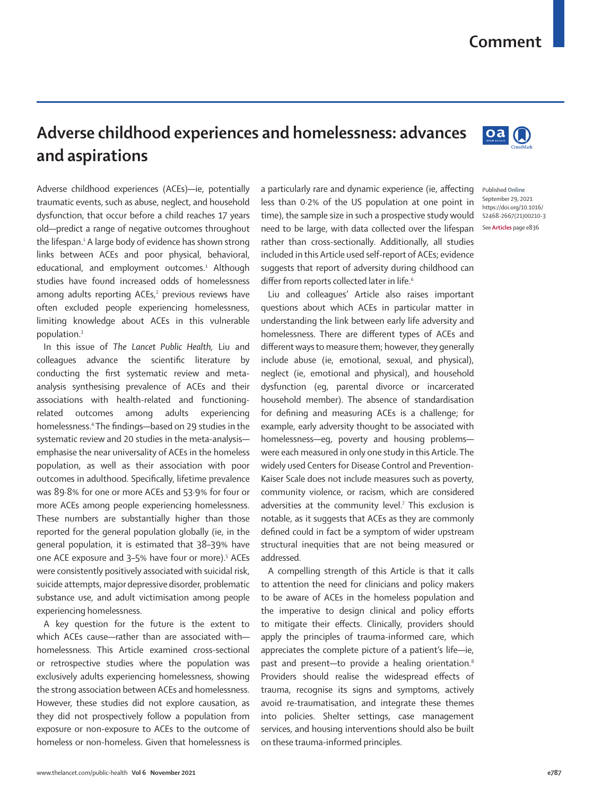## **Comment**

## **Adverse childhood experiences and homelessness: advances and aspirations**

Adverse childhood experiences (ACEs)—ie, potentially traumatic events, such as abuse, neglect, and household dysfunction, that occur before a child reaches 17 years old—predict a range of negative outcomes throughout the lifespan.<sup>1</sup> A large body of evidence has shown strong links between ACEs and poor physical, behavioral, educational, and employment outcomes.<sup>1</sup> Although studies have found increased odds of homelessness among adults reporting ACEs,<sup>2</sup> previous reviews have often excluded people experiencing homelessness, limiting knowledge about ACEs in this vulnerable population.3

In this issue of *The Lancet Public Health,* Liu and colleagues advance the scientific literature by conducting the first systematic review and metaanalysis synthesising prevalence of ACEs and their associations with health-related and functioningrelated outcomes among adults experiencing homelessness.4 The findings—based on 29 studies in the systematic review and 20 studies in the meta-analysis emphasise the near universality of ACEs in the homeless population, as well as their association with poor outcomes in adulthood. Specifically, lifetime prevalence was 89·8% for one or more ACEs and 53·9% for four or more ACEs among people experiencing homelessness. These numbers are substantially higher than those reported for the general population globally (ie, in the general population, it is estimated that 38–39% have one ACE exposure and 3-5% have four or more).<sup>5</sup> ACEs were consistently positively associated with suicidal risk, suicide attempts, major depressive disorder, problematic substance use, and adult victimisation among people experiencing homelessness.

A key question for the future is the extent to which ACEs cause—rather than are associated with homelessness. This Article examined cross-sectional or retrospective studies where the population was exclusively adults experiencing homelessness, showing the strong association between ACEs and homelessness. However, these studies did not explore causation, as they did not prospectively follow a population from exposure or non-exposure to ACEs to the outcome of homeless or non-homeless. Given that homelessness is a particularly rare and dynamic experience (ie, affecting less than 0·2% of the US population at one point in time), the sample size in such a prospective study would need to be large, with data collected over the lifespan rather than cross-sectionally. Additionally, all studies included in this Article used self-report of ACEs; evidence suggests that report of adversity during childhood can differ from reports collected later in life.<sup>6</sup>

Liu and colleagues' Article also raises important questions about which ACEs in particular matter in understanding the link between early life adversity and homelessness. There are different types of ACEs and different ways to measure them; however, they generally include abuse (ie, emotional, sexual, and physical), neglect (ie, emotional and physical), and household dysfunction (eg, parental divorce or incarcerated household member). The absence of standardisation for defining and measuring ACEs is a challenge; for example, early adversity thought to be associated with homelessness—eg, poverty and housing problems were each measured in only one study in this Article. The widely used Centers for Disease Control and Prevention-Kaiser Scale does not include measures such as poverty, community violence, or racism, which are considered adversities at the community level.<sup>7</sup> This exclusion is notable, as it suggests that ACEs as they are commonly defined could in fact be a symptom of wider upstream structural inequities that are not being measured or addressed.

A compelling strength of this Article is that it calls to attention the need for clinicians and policy makers to be aware of ACEs in the homeless population and the imperative to design clinical and policy efforts to mitigate their effects. Clinically, providers should apply the principles of trauma-informed care, which appreciates the complete picture of a patient's life—ie, past and present-to provide a healing orientation.<sup>8</sup> Providers should realise the widespread effects of trauma, recognise its signs and symptoms, actively avoid re-traumatisation, and integrate these themes into policies. Shelter settings, case management services, and housing interventions should also be built on these trauma-informed principles.



Published **Online** September 29, 2021 https://doi.org/10.1016/ S2468-2667(21)00210-3 See **Articles** page e836